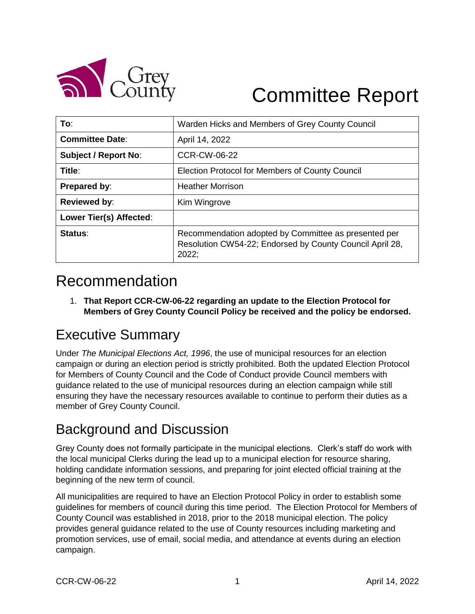

# Committee Report

| To:                         | Warden Hicks and Members of Grey County Council                                                                           |
|-----------------------------|---------------------------------------------------------------------------------------------------------------------------|
| <b>Committee Date:</b>      | April 14, 2022                                                                                                            |
| <b>Subject / Report No:</b> | <b>CCR-CW-06-22</b>                                                                                                       |
| Title:                      | Election Protocol for Members of County Council                                                                           |
| <b>Prepared by:</b>         | <b>Heather Morrison</b>                                                                                                   |
| <b>Reviewed by:</b>         | Kim Wingrove                                                                                                              |
| Lower Tier(s) Affected:     |                                                                                                                           |
| Status:                     | Recommendation adopted by Committee as presented per<br>Resolution CW54-22; Endorsed by County Council April 28,<br>2022: |

# Recommendation

1. **That Report CCR-CW-06-22 regarding an update to the Election Protocol for Members of Grey County Council Policy be received and the policy be endorsed.**

# Executive Summary

Under *The Municipal Elections Act, 1996*, the use of municipal resources for an election campaign or during an election period is strictly prohibited. Both the updated Election Protocol for Members of County Council and the Code of Conduct provide Council members with guidance related to the use of municipal resources during an election campaign while still ensuring they have the necessary resources available to continue to perform their duties as a member of Grey County Council.

### Background and Discussion

Grey County does not formally participate in the municipal elections. Clerk's staff do work with the local municipal Clerks during the lead up to a municipal election for resource sharing, holding candidate information sessions, and preparing for joint elected official training at the beginning of the new term of council.

All municipalities are required to have an Election Protocol Policy in order to establish some guidelines for members of council during this time period. The Election Protocol for Members of County Council was established in 2018, prior to the 2018 municipal election. The policy provides general guidance related to the use of County resources including marketing and promotion services, use of email, social media, and attendance at events during an election campaign.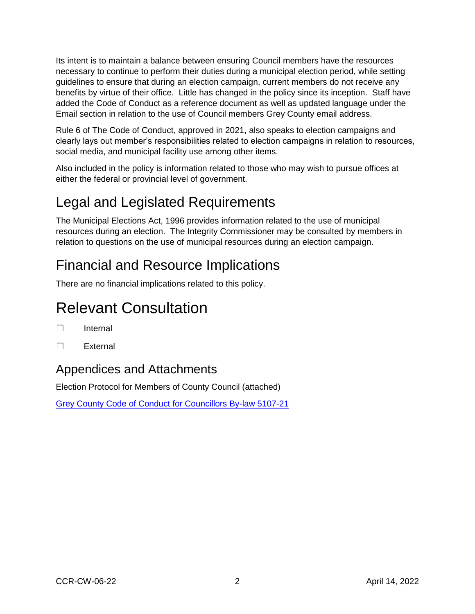Its intent is to maintain a balance between ensuring Council members have the resources necessary to continue to perform their duties during a municipal election period, while setting guidelines to ensure that during an election campaign, current members do not receive any benefits by virtue of their office. Little has changed in the policy since its inception. Staff have added the Code of Conduct as a reference document as well as updated language under the Email section in relation to the use of Council members Grey County email address.

Rule 6 of The Code of Conduct, approved in 2021, also speaks to election campaigns and clearly lays out member's responsibilities related to election campaigns in relation to resources, social media, and municipal facility use among other items.

Also included in the policy is information related to those who may wish to pursue offices at either the federal or provincial level of government.

# Legal and Legislated Requirements

The Municipal Elections Act, 1996 provides information related to the use of municipal resources during an election. The Integrity Commissioner may be consulted by members in relation to questions on the use of municipal resources during an election campaign.

# Financial and Resource Implications

There are no financial implications related to this policy.

# Relevant Consultation

- ☐ Internal
- ☐ External

#### Appendices and Attachments

Election Protocol for Members of County Council (attached)

[Grey County Code of Conduct for Councillors By-law 5107-21](https://docs.grey.ca/share/public?nodeRef=workspace://SpacesStore/b66a59ec-8625-4bb3-95dc-0ff80475e4c1)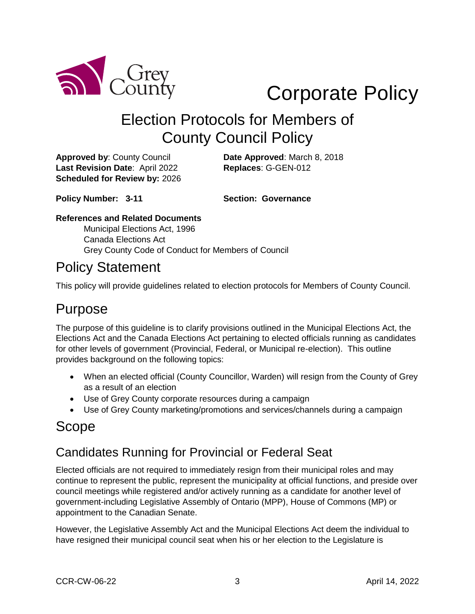

# Corporate Policy

# Election Protocols for Members of County Council Policy

**Approved by**: County Council **Date Approved**: March 8, 2018 **Last Revision Date**: April 2022 **Replaces**: G-GEN-012 **Scheduled for Review by:** 2026

**Policy Number: 3-11 Section: Governance**

#### **References and Related Documents**

Municipal Elections Act, 1996 Canada Elections Act Grey County Code of Conduct for Members of Council

#### Policy Statement

This policy will provide guidelines related to election protocols for Members of County Council.

#### Purpose

The purpose of this guideline is to clarify provisions outlined in the Municipal Elections Act, the Elections Act and the Canada Elections Act pertaining to elected officials running as candidates for other levels of government (Provincial, Federal, or Municipal re-election). This outline provides background on the following topics:

- When an elected official (County Councillor, Warden) will resign from the County of Grey as a result of an election
- Use of Grey County corporate resources during a campaign
- Use of Grey County marketing/promotions and services/channels during a campaign

# Scope

#### Candidates Running for Provincial or Federal Seat

Elected officials are not required to immediately resign from their municipal roles and may continue to represent the public, represent the municipality at official functions, and preside over council meetings while registered and/or actively running as a candidate for another level of government-including Legislative Assembly of Ontario (MPP), House of Commons (MP) or appointment to the Canadian Senate.

However, the Legislative Assembly Act and the Municipal Elections Act deem the individual to have resigned their municipal council seat when his or her election to the Legislature is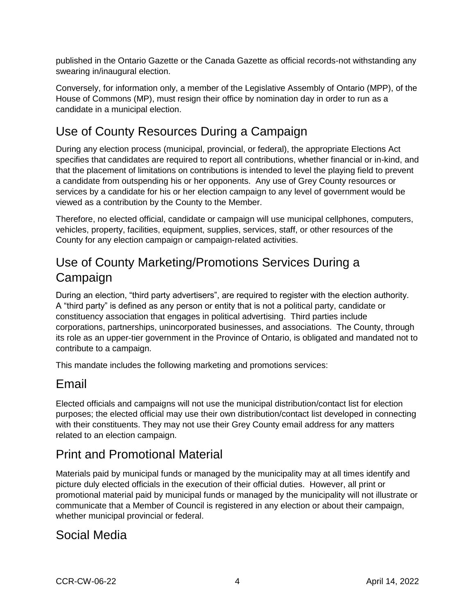published in the Ontario Gazette or the Canada Gazette as official records-not withstanding any swearing in/inaugural election.

Conversely, for information only, a member of the Legislative Assembly of Ontario (MPP), of the House of Commons (MP), must resign their office by nomination day in order to run as a candidate in a municipal election.

### Use of County Resources During a Campaign

During any election process (municipal, provincial, or federal), the appropriate Elections Act specifies that candidates are required to report all contributions, whether financial or in-kind, and that the placement of limitations on contributions is intended to level the playing field to prevent a candidate from outspending his or her opponents. Any use of Grey County resources or services by a candidate for his or her election campaign to any level of government would be viewed as a contribution by the County to the Member.

Therefore, no elected official, candidate or campaign will use municipal cellphones, computers, vehicles, property, facilities, equipment, supplies, services, staff, or other resources of the County for any election campaign or campaign-related activities.

#### Use of County Marketing/Promotions Services During a Campaign

During an election, "third party advertisers", are required to register with the election authority. A "third party" is defined as any person or entity that is not a political party, candidate or constituency association that engages in political advertising. Third parties include corporations, partnerships, unincorporated businesses, and associations. The County, through its role as an upper-tier government in the Province of Ontario, is obligated and mandated not to contribute to a campaign.

This mandate includes the following marketing and promotions services:

#### Email

Elected officials and campaigns will not use the municipal distribution/contact list for election purposes; the elected official may use their own distribution/contact list developed in connecting with their constituents. They may not use their Grey County email address for any matters related to an election campaign.

#### Print and Promotional Material

Materials paid by municipal funds or managed by the municipality may at all times identify and picture duly elected officials in the execution of their official duties. However, all print or promotional material paid by municipal funds or managed by the municipality will not illustrate or communicate that a Member of Council is registered in any election or about their campaign, whether municipal provincial or federal.

#### Social Media